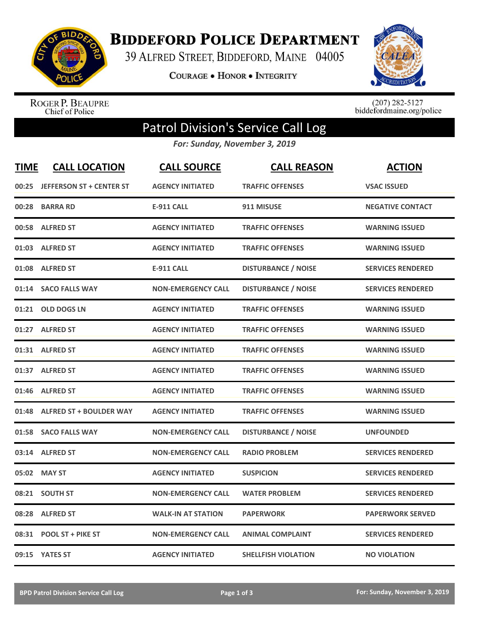

**BIDDEFORD POLICE DEPARTMENT** 

39 ALFRED STREET, BIDDEFORD, MAINE 04005

**COURAGE . HONOR . INTEGRITY** 



ROGER P. BEAUPRE<br>Chief of Police

 $(207)$  282-5127<br>biddefordmaine.org/police

## Patrol Division's Service Call Log

*For: Sunday, November 3, 2019*

| <b>TIME</b> | <b>CALL LOCATION</b>            | <b>CALL SOURCE</b>        | <b>CALL REASON</b>         | <b>ACTION</b>            |
|-------------|---------------------------------|---------------------------|----------------------------|--------------------------|
| 00:25       | <b>JEFFERSON ST + CENTER ST</b> | <b>AGENCY INITIATED</b>   | <b>TRAFFIC OFFENSES</b>    | <b>VSAC ISSUED</b>       |
| 00:28       | <b>BARRA RD</b>                 | <b>E-911 CALL</b>         | 911 MISUSE                 | <b>NEGATIVE CONTACT</b>  |
| 00:58       | <b>ALFRED ST</b>                | <b>AGENCY INITIATED</b>   | <b>TRAFFIC OFFENSES</b>    | <b>WARNING ISSUED</b>    |
| 01:03       | <b>ALFRED ST</b>                | <b>AGENCY INITIATED</b>   | <b>TRAFFIC OFFENSES</b>    | <b>WARNING ISSUED</b>    |
| 01:08       | <b>ALFRED ST</b>                | <b>E-911 CALL</b>         | <b>DISTURBANCE / NOISE</b> | <b>SERVICES RENDERED</b> |
| 01:14       | <b>SACO FALLS WAY</b>           | <b>NON-EMERGENCY CALL</b> | <b>DISTURBANCE / NOISE</b> | <b>SERVICES RENDERED</b> |
|             | 01:21 OLD DOGS LN               | <b>AGENCY INITIATED</b>   | <b>TRAFFIC OFFENSES</b>    | <b>WARNING ISSUED</b>    |
|             | 01:27 ALFRED ST                 | <b>AGENCY INITIATED</b>   | <b>TRAFFIC OFFENSES</b>    | <b>WARNING ISSUED</b>    |
|             | 01:31 ALFRED ST                 | <b>AGENCY INITIATED</b>   | <b>TRAFFIC OFFENSES</b>    | <b>WARNING ISSUED</b>    |
| 01:37       | <b>ALFRED ST</b>                | <b>AGENCY INITIATED</b>   | <b>TRAFFIC OFFENSES</b>    | <b>WARNING ISSUED</b>    |
|             | 01:46 ALFRED ST                 | <b>AGENCY INITIATED</b>   | <b>TRAFFIC OFFENSES</b>    | <b>WARNING ISSUED</b>    |
| 01:48       | <b>ALFRED ST + BOULDER WAY</b>  | <b>AGENCY INITIATED</b>   | <b>TRAFFIC OFFENSES</b>    | <b>WARNING ISSUED</b>    |
|             | 01:58 SACO FALLS WAY            | <b>NON-EMERGENCY CALL</b> | <b>DISTURBANCE / NOISE</b> | <b>UNFOUNDED</b>         |
| 03:14       | <b>ALFRED ST</b>                | <b>NON-EMERGENCY CALL</b> | <b>RADIO PROBLEM</b>       | <b>SERVICES RENDERED</b> |
| 05:02       | <b>MAY ST</b>                   | <b>AGENCY INITIATED</b>   | <b>SUSPICION</b>           | <b>SERVICES RENDERED</b> |
|             | 08:21 SOUTH ST                  | <b>NON-EMERGENCY CALL</b> | <b>WATER PROBLEM</b>       | <b>SERVICES RENDERED</b> |
| 08:28       | <b>ALFRED ST</b>                | <b>WALK-IN AT STATION</b> | <b>PAPERWORK</b>           | <b>PAPERWORK SERVED</b>  |
| 08:31       | <b>POOL ST + PIKE ST</b>        | <b>NON-EMERGENCY CALL</b> | <b>ANIMAL COMPLAINT</b>    | <b>SERVICES RENDERED</b> |
|             | 09:15 YATES ST                  | <b>AGENCY INITIATED</b>   | <b>SHELLFISH VIOLATION</b> | <b>NO VIOLATION</b>      |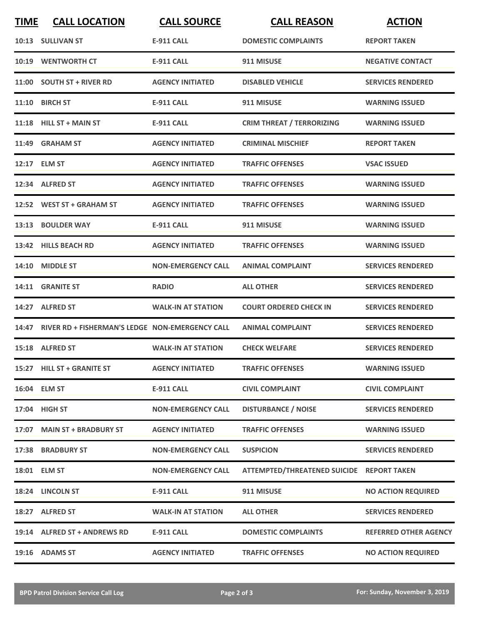| <b>TIME</b> | <b>CALL LOCATION</b>                                  | <b>CALL SOURCE</b>        | <b>CALL REASON</b>                  | <b>ACTION</b>                |
|-------------|-------------------------------------------------------|---------------------------|-------------------------------------|------------------------------|
|             | 10:13 SULLIVAN ST                                     | <b>E-911 CALL</b>         | <b>DOMESTIC COMPLAINTS</b>          | <b>REPORT TAKEN</b>          |
| 10:19       | <b>WENTWORTH CT</b>                                   | <b>E-911 CALL</b>         | 911 MISUSE                          | <b>NEGATIVE CONTACT</b>      |
|             | 11:00 SOUTH ST + RIVER RD                             | <b>AGENCY INITIATED</b>   | <b>DISABLED VEHICLE</b>             | <b>SERVICES RENDERED</b>     |
|             | 11:10 BIRCH ST                                        | <b>E-911 CALL</b>         | 911 MISUSE                          | <b>WARNING ISSUED</b>        |
|             | $11:18$ HILL ST + MAIN ST                             | <b>E-911 CALL</b>         | <b>CRIM THREAT / TERRORIZING</b>    | <b>WARNING ISSUED</b>        |
|             | 11:49 GRAHAM ST                                       | <b>AGENCY INITIATED</b>   | <b>CRIMINAL MISCHIEF</b>            | <b>REPORT TAKEN</b>          |
|             | 12:17 ELM ST                                          | <b>AGENCY INITIATED</b>   | <b>TRAFFIC OFFENSES</b>             | <b>VSAC ISSUED</b>           |
|             | 12:34 ALFRED ST                                       | <b>AGENCY INITIATED</b>   | <b>TRAFFIC OFFENSES</b>             | <b>WARNING ISSUED</b>        |
|             | 12:52 WEST ST + GRAHAM ST                             | <b>AGENCY INITIATED</b>   | <b>TRAFFIC OFFENSES</b>             | <b>WARNING ISSUED</b>        |
|             | 13:13 BOULDER WAY                                     | <b>E-911 CALL</b>         | 911 MISUSE                          | <b>WARNING ISSUED</b>        |
|             | 13:42 HILLS BEACH RD                                  | <b>AGENCY INITIATED</b>   | <b>TRAFFIC OFFENSES</b>             | <b>WARNING ISSUED</b>        |
|             | 14:10 MIDDLE ST                                       | <b>NON-EMERGENCY CALL</b> | <b>ANIMAL COMPLAINT</b>             | <b>SERVICES RENDERED</b>     |
|             | 14:11 GRANITE ST                                      | <b>RADIO</b>              | <b>ALL OTHER</b>                    | <b>SERVICES RENDERED</b>     |
|             | 14:27 ALFRED ST                                       | <b>WALK-IN AT STATION</b> | <b>COURT ORDERED CHECK IN</b>       | <b>SERVICES RENDERED</b>     |
|             | 14:47 RIVER RD + FISHERMAN'S LEDGE NON-EMERGENCY CALL |                           | <b>ANIMAL COMPLAINT</b>             | <b>SERVICES RENDERED</b>     |
|             | 15:18 ALFRED ST                                       | <b>WALK-IN AT STATION</b> | <b>CHECK WELFARE</b>                | <b>SERVICES RENDERED</b>     |
|             | 15:27 HILL ST + GRANITE ST                            | <b>AGENCY INITIATED</b>   | <b>TRAFFIC OFFENSES</b>             | <b>WARNING ISSUED</b>        |
|             | 16:04 ELM ST                                          | <b>E-911 CALL</b>         | <b>CIVIL COMPLAINT</b>              | <b>CIVIL COMPLAINT</b>       |
|             | 17:04 HIGH ST                                         | <b>NON-EMERGENCY CALL</b> | <b>DISTURBANCE / NOISE</b>          | <b>SERVICES RENDERED</b>     |
|             | 17:07 MAIN ST + BRADBURY ST                           | <b>AGENCY INITIATED</b>   | <b>TRAFFIC OFFENSES</b>             | <b>WARNING ISSUED</b>        |
|             | 17:38 BRADBURY ST                                     | <b>NON-EMERGENCY CALL</b> | <b>SUSPICION</b>                    | <b>SERVICES RENDERED</b>     |
|             | 18:01 ELM ST                                          | <b>NON-EMERGENCY CALL</b> | <b>ATTEMPTED/THREATENED SUICIDE</b> | <b>REPORT TAKEN</b>          |
|             | 18:24 LINCOLN ST                                      | E-911 CALL                | 911 MISUSE                          | <b>NO ACTION REQUIRED</b>    |
|             | 18:27 ALFRED ST                                       | <b>WALK-IN AT STATION</b> | <b>ALL OTHER</b>                    | <b>SERVICES RENDERED</b>     |
|             | 19:14 ALFRED ST + ANDREWS RD                          | E-911 CALL                | <b>DOMESTIC COMPLAINTS</b>          | <b>REFERRED OTHER AGENCY</b> |
|             | 19:16 ADAMS ST                                        | <b>AGENCY INITIATED</b>   | <b>TRAFFIC OFFENSES</b>             | <b>NO ACTION REQUIRED</b>    |